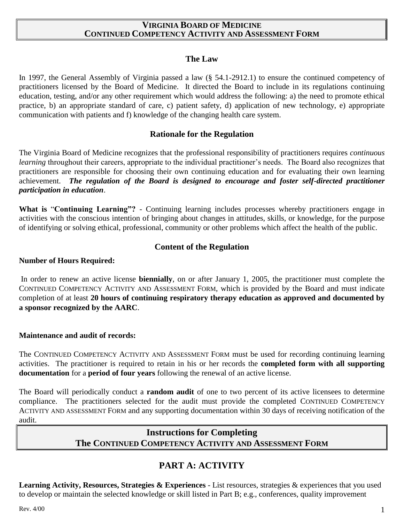### **VIRGINIA BOARD OF MEDICINE CONTINUED COMPETENCY ACTIVITY AND ASSESSMENT FORM**

### **The Law**

In 1997, the General Assembly of Virginia passed a law (§ 54.1-2912.1) to ensure the continued competency of practitioners licensed by the Board of Medicine. It directed the Board to include in its regulations continuing education, testing, and/or any other requirement which would address the following: a) the need to promote ethical practice, b) an appropriate standard of care, c) patient safety, d) application of new technology, e) appropriate communication with patients and f) knowledge of the changing health care system.

### **Rationale for the Regulation**

The Virginia Board of Medicine recognizes that the professional responsibility of practitioners requires *continuous learning* throughout their careers, appropriate to the individual practitioner's needs. The Board also recognizes that practitioners are responsible for choosing their own continuing education and for evaluating their own learning achievement. *The regulation of the Board is designed to encourage and foster self-directed practitioner participation in education*.

**What is** "**Continuing Learning"?** - Continuing learning includes processes whereby practitioners engage in activities with the conscious intention of bringing about changes in attitudes, skills, or knowledge, for the purpose of identifying or solving ethical, professional, community or other problems which affect the health of the public.

### **Content of the Regulation**

#### **Number of Hours Required:**

In order to renew an active license **biennially**, on or after January 1, 2005, the practitioner must complete the CONTINUED COMPETENCY ACTIVITY AND ASSESSMENT FORM, which is provided by the Board and must indicate completion of at least **20 hours of continuing respiratory therapy education as approved and documented by a sponsor recognized by the AARC**.

### **Maintenance and audit of records:**

The CONTINUED COMPETENCY ACTIVITY AND ASSESSMENT FORM must be used for recording continuing learning activities. The practitioner is required to retain in his or her records the **completed form with all supporting documentation** for a **period of four years** following the renewal of an active license.

The Board will periodically conduct a **random audit** of one to two percent of its active licensees to determine compliance. The practitioners selected for the audit must provide the completed CONTINUED COMPETENCY ACTIVITY AND ASSESSMENT FORM and any supporting documentation within 30 days of receiving notification of the audit.

# **Instructions for Completing The CONTINUED COMPETENCY ACTIVITY AND ASSESSMENT FORM**

### **PART A: ACTIVITY**

**Learning Activity, Resources, Strategies & Experiences** - List resources, strategies & experiences that you used to develop or maintain the selected knowledge or skill listed in Part B; e.g., conferences, quality improvement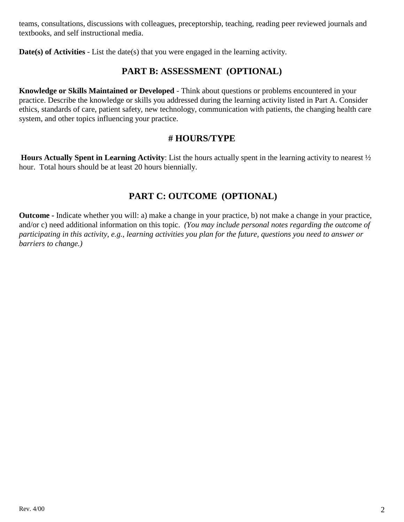teams, consultations, discussions with colleagues, preceptorship, teaching, reading peer reviewed journals and textbooks, and self instructional media.

**Date(s) of Activities** - List the date(s) that you were engaged in the learning activity.

### **PART B: ASSESSMENT (OPTIONAL)**

**Knowledge or Skills Maintained or Developed** - Think about questions or problems encountered in your practice. Describe the knowledge or skills you addressed during the learning activity listed in Part A. Consider ethics, standards of care, patient safety, new technology, communication with patients, the changing health care system, and other topics influencing your practice.

### **# HOURS/TYPE**

**Hours Actually Spent in Learning Activity**: List the hours actually spent in the learning activity to nearest ½ hour. Total hours should be at least 20 hours biennially.

## **PART C: OUTCOME (OPTIONAL)**

**Outcome -** Indicate whether you will: a) make a change in your practice, b) not make a change in your practice, and/or c) need additional information on this topic. *(You may include personal notes regarding the outcome of participating in this activity, e.g., learning activities you plan for the future, questions you need to answer or barriers to change.)*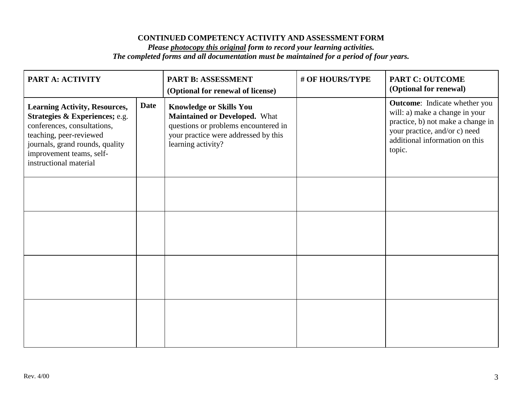#### **CONTINUED COMPETENCY ACTIVITY AND ASSESSMENT FORM**

#### *Please photocopy this original form to record your learning activities. The completed forms and all documentation must be maintained for a period of four years.*

| PART A: ACTIVITY                                                                                                                                                                                                          |             | PART B: ASSESSMENT<br>(Optional for renewal of license)                                                                                                                      | # OF HOURS/TYPE | <b>PART C: OUTCOME</b><br>(Optional for renewal)                                                                                                                                         |
|---------------------------------------------------------------------------------------------------------------------------------------------------------------------------------------------------------------------------|-------------|------------------------------------------------------------------------------------------------------------------------------------------------------------------------------|-----------------|------------------------------------------------------------------------------------------------------------------------------------------------------------------------------------------|
| <b>Learning Activity, Resources,</b><br>Strategies & Experiences; e.g.<br>conferences, consultations,<br>teaching, peer-reviewed<br>journals, grand rounds, quality<br>improvement teams, self-<br>instructional material | <b>Date</b> | <b>Knowledge or Skills You</b><br><b>Maintained or Developed.</b> What<br>questions or problems encountered in<br>your practice were addressed by this<br>learning activity? |                 | <b>Outcome:</b> Indicate whether you<br>will: a) make a change in your<br>practice, b) not make a change in<br>your practice, and/or c) need<br>additional information on this<br>topic. |
|                                                                                                                                                                                                                           |             |                                                                                                                                                                              |                 |                                                                                                                                                                                          |
|                                                                                                                                                                                                                           |             |                                                                                                                                                                              |                 |                                                                                                                                                                                          |
|                                                                                                                                                                                                                           |             |                                                                                                                                                                              |                 |                                                                                                                                                                                          |
|                                                                                                                                                                                                                           |             |                                                                                                                                                                              |                 |                                                                                                                                                                                          |